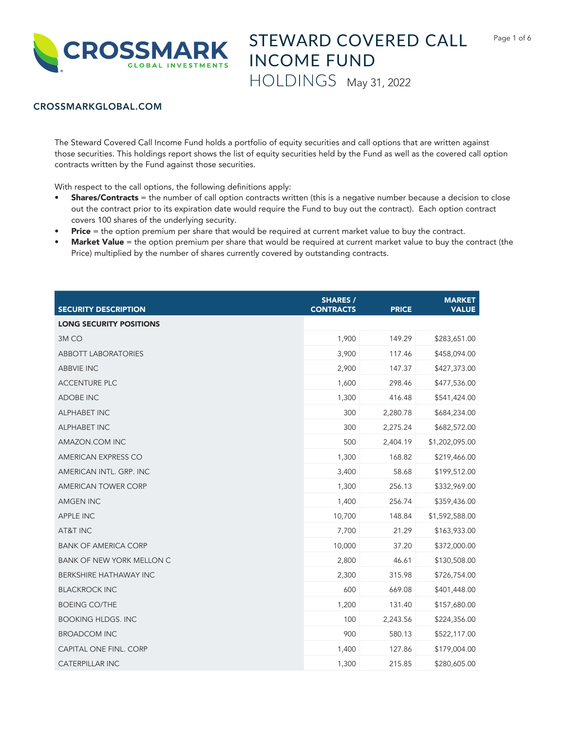

## CROSSMARKGLOBAL.COM

The Steward Covered Call Income Fund holds a portfolio of equity securities and call options that are written against those securities. This holdings report shows the list of equity securities held by the Fund as well as the covered call option contracts written by the Fund against those securities.

With respect to the call options, the following definitions apply:

- Shares/Contracts = the number of call option contracts written (this is a negative number because a decision to close out the contract prior to its expiration date would require the Fund to buy out the contract). Each option contract covers 100 shares of the underlying security.
- Price = the option premium per share that would be required at current market value to buy the contract.
- Market Value = the option premium per share that would be required at current market value to buy the contract (the Price) multiplied by the number of shares currently covered by outstanding contracts.

| <b>SECURITY DESCRIPTION</b>    | <b>SHARES /</b><br><b>CONTRACTS</b> | <b>PRICE</b> | <b>MARKET</b><br><b>VALUE</b> |
|--------------------------------|-------------------------------------|--------------|-------------------------------|
| <b>LONG SECURITY POSITIONS</b> |                                     |              |                               |
| 3M <sub>CO</sub>               | 1,900                               | 149.29       | \$283,651.00                  |
| <b>ABBOTT LABORATORIES</b>     | 3,900                               | 117.46       | \$458,094.00                  |
| <b>ABBVIE INC</b>              | 2,900                               | 147.37       | \$427,373.00                  |
| <b>ACCENTURE PLC</b>           | 1,600                               | 298.46       | \$477,536.00                  |
| <b>ADOBE INC</b>               | 1,300                               | 416.48       | \$541,424.00                  |
| <b>ALPHABET INC</b>            | 300                                 | 2,280.78     | \$684,234.00                  |
| <b>ALPHABET INC</b>            | 300                                 | 2,275.24     | \$682,572.00                  |
| AMAZON.COM INC                 | 500                                 | 2,404.19     | \$1,202,095.00                |
| AMERICAN EXPRESS CO            | 1,300                               | 168.82       | \$219,466.00                  |
| AMERICAN INTL. GRP. INC        | 3,400                               | 58.68        | \$199,512.00                  |
| <b>AMERICAN TOWER CORP</b>     | 1,300                               | 256.13       | \$332,969.00                  |
| <b>AMGEN INC</b>               | 1,400                               | 256.74       | \$359,436.00                  |
| <b>APPLE INC</b>               | 10,700                              | 148.84       | \$1,592,588.00                |
| AT&T INC                       | 7,700                               | 21.29        | \$163,933.00                  |
| <b>BANK OF AMERICA CORP</b>    | 10,000                              | 37.20        | \$372,000.00                  |
| BANK OF NEW YORK MELLON C      | 2,800                               | 46.61        | \$130,508.00                  |
| BERKSHIRE HATHAWAY INC         | 2,300                               | 315.98       | \$726,754.00                  |
| <b>BLACKROCK INC</b>           | 600                                 | 669.08       | \$401,448.00                  |
| <b>BOEING CO/THE</b>           | 1,200                               | 131.40       | \$157,680.00                  |
| <b>BOOKING HLDGS. INC</b>      | 100                                 | 2,243.56     | \$224,356.00                  |
| <b>BROADCOM INC</b>            | 900                                 | 580.13       | \$522,117.00                  |
| CAPITAL ONE FINL. CORP         | 1,400                               | 127.86       | \$179,004.00                  |
| <b>CATERPILLAR INC</b>         | 1,300                               | 215.85       | \$280,605.00                  |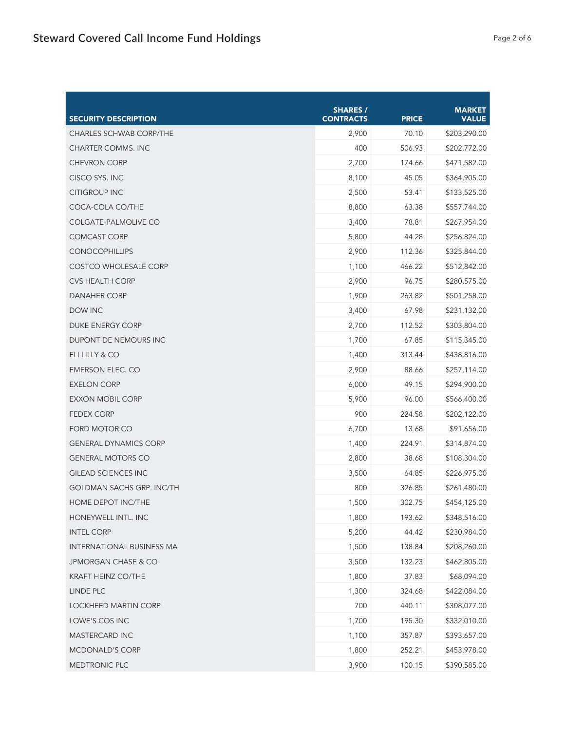| <b>SECURITY DESCRIPTION</b>      | <b>SHARES /</b><br><b>CONTRACTS</b> | <b>PRICE</b> | <b>MARKET</b><br><b>VALUE</b> |
|----------------------------------|-------------------------------------|--------------|-------------------------------|
| <b>CHARLES SCHWAB CORP/THE</b>   | 2,900                               | 70.10        | \$203,290.00                  |
| <b>CHARTER COMMS. INC</b>        | 400                                 | 506.93       | \$202,772.00                  |
| <b>CHEVRON CORP</b>              | 2,700                               | 174.66       | \$471,582.00                  |
| CISCO SYS. INC                   | 8,100                               | 45.05        | \$364,905.00                  |
| <b>CITIGROUP INC</b>             | 2,500                               | 53.41        | \$133,525.00                  |
| COCA-COLA CO/THE                 | 8,800                               | 63.38        | \$557,744.00                  |
| COLGATE-PALMOLIVE CO             | 3,400                               | 78.81        | \$267,954.00                  |
| <b>COMCAST CORP</b>              | 5,800                               | 44.28        | \$256,824.00                  |
| <b>CONOCOPHILLIPS</b>            | 2,900                               | 112.36       | \$325,844.00                  |
| <b>COSTCO WHOLESALE CORP</b>     | 1,100                               | 466.22       | \$512,842.00                  |
| <b>CVS HEALTH CORP</b>           | 2,900                               | 96.75        | \$280,575.00                  |
| <b>DANAHER CORP</b>              | 1,900                               | 263.82       | \$501,258.00                  |
| DOW INC                          | 3,400                               | 67.98        | \$231,132.00                  |
| <b>DUKE ENERGY CORP</b>          | 2,700                               | 112.52       | \$303,804.00                  |
| DUPONT DE NEMOURS INC            | 1,700                               | 67.85        | \$115,345.00                  |
| ELI LILLY & CO                   | 1,400                               | 313.44       | \$438,816.00                  |
| EMERSON ELEC. CO                 | 2,900                               | 88.66        | \$257,114.00                  |
| <b>EXELON CORP</b>               | 6,000                               | 49.15        | \$294,900.00                  |
| <b>EXXON MOBIL CORP</b>          | 5,900                               | 96.00        | \$566,400.00                  |
| <b>FEDEX CORP</b>                | 900                                 | 224.58       | \$202,122.00                  |
| FORD MOTOR CO                    | 6,700                               | 13.68        | \$91,656.00                   |
| <b>GENERAL DYNAMICS CORP</b>     | 1,400                               | 224.91       | \$314,874.00                  |
| <b>GENERAL MOTORS CO</b>         | 2,800                               | 38.68        | \$108,304.00                  |
| <b>GILEAD SCIENCES INC</b>       | 3,500                               | 64.85        | \$226,975.00                  |
| <b>GOLDMAN SACHS GRP. INC/TH</b> | 800                                 | 326.85       | \$261,480.00                  |
| HOME DEPOT INC/THE               | 1,500                               | 302.75       | \$454,125.00                  |
| HONEYWELL INTL. INC              | 1,800                               | 193.62       | \$348,516.00                  |
| <b>INTEL CORP</b>                | 5,200                               | 44.42        | \$230,984.00                  |
| INTERNATIONAL BUSINESS MA        | 1,500                               | 138.84       | \$208,260.00                  |
| JPMORGAN CHASE & CO              | 3,500                               | 132.23       | \$462,805.00                  |
| KRAFT HEINZ CO/THE               | 1,800                               | 37.83        | \$68,094.00                   |
| LINDE PLC                        | 1,300                               | 324.68       | \$422,084.00                  |
| LOCKHEED MARTIN CORP             | 700                                 | 440.11       | \$308,077.00                  |
| LOWE'S COS INC                   | 1,700                               | 195.30       | \$332,010.00                  |
| MASTERCARD INC                   | 1,100                               | 357.87       | \$393,657.00                  |
| MCDONALD'S CORP                  | 1,800                               | 252.21       | \$453,978.00                  |
| MEDTRONIC PLC                    | 3,900                               | 100.15       | \$390,585.00                  |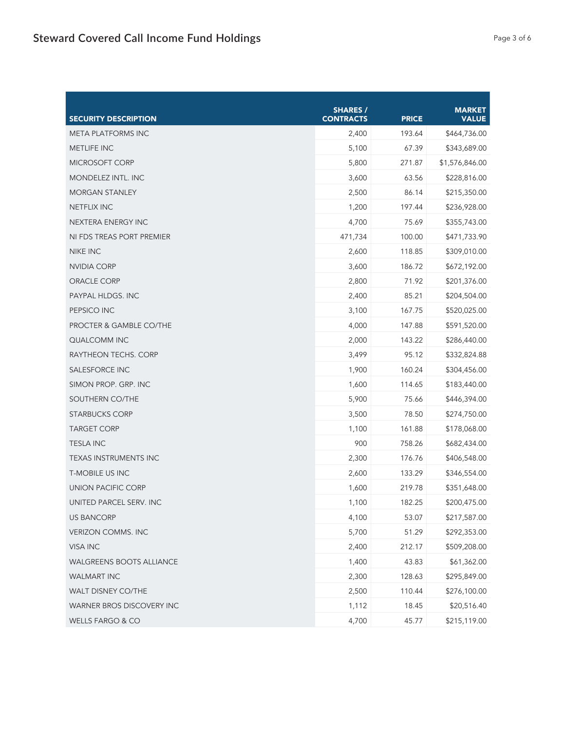| <b>SECURITY DESCRIPTION</b>        | <b>SHARES /</b><br><b>CONTRACTS</b> | <b>PRICE</b> | <b>MARKET</b><br><b>VALUE</b> |
|------------------------------------|-------------------------------------|--------------|-------------------------------|
| <b>META PLATFORMS INC</b>          | 2,400                               | 193.64       | \$464,736.00                  |
| <b>METLIFE INC</b>                 | 5,100                               | 67.39        | \$343,689.00                  |
| MICROSOFT CORP                     | 5,800                               | 271.87       | \$1,576,846.00                |
| <b>MONDELEZ INTL. INC</b>          | 3,600                               | 63.56        | \$228,816.00                  |
| <b>MORGAN STANLEY</b>              | 2,500                               | 86.14        | \$215,350.00                  |
| <b>NETFLIX INC</b>                 | 1,200                               | 197.44       | \$236,928.00                  |
| NEXTERA ENERGY INC                 | 4,700                               | 75.69        | \$355,743.00                  |
| NI FDS TREAS PORT PREMIER          | 471,734                             | 100.00       | \$471,733.90                  |
| <b>NIKE INC</b>                    | 2,600                               | 118.85       | \$309,010.00                  |
| NVIDIA CORP                        | 3,600                               | 186.72       | \$672,192.00                  |
| ORACLE CORP                        | 2,800                               | 71.92        | \$201,376.00                  |
| PAYPAL HLDGS. INC                  | 2,400                               | 85.21        | \$204,504.00                  |
| PEPSICO INC                        | 3,100                               | 167.75       | \$520,025.00                  |
| <b>PROCTER &amp; GAMBLE CO/THE</b> | 4,000                               | 147.88       | \$591,520.00                  |
| <b>QUALCOMM INC</b>                | 2,000                               | 143.22       | \$286,440.00                  |
| RAYTHEON TECHS. CORP               | 3,499                               | 95.12        | \$332,824.88                  |
| <b>SALESFORCE INC</b>              | 1,900                               | 160.24       | \$304,456.00                  |
| SIMON PROP. GRP. INC               | 1,600                               | 114.65       | \$183,440.00                  |
| SOUTHERN CO/THE                    | 5,900                               | 75.66        | \$446,394.00                  |
| <b>STARBUCKS CORP</b>              | 3,500                               | 78.50        | \$274,750.00                  |
| <b>TARGET CORP</b>                 | 1,100                               | 161.88       | \$178,068.00                  |
| <b>TESLA INC</b>                   | 900                                 | 758.26       | \$682,434.00                  |
| <b>TEXAS INSTRUMENTS INC</b>       | 2,300                               | 176.76       | \$406,548.00                  |
| <b>T-MOBILE US INC</b>             | 2,600                               | 133.29       | \$346,554.00                  |
| UNION PACIFIC CORP                 | 1,600                               | 219.78       | \$351,648.00                  |
| UNITED PARCEL SERV. INC            | 1,100                               | 182.25       | \$200,475.00                  |
| <b>US BANCORP</b>                  | 4,100                               | 53.07        | \$217,587.00                  |
| <b>VERIZON COMMS. INC</b>          | 5,700                               | 51.29        | \$292,353.00                  |
| VISA INC                           | 2,400                               | 212.17       | \$509,208.00                  |
| <b>WALGREENS BOOTS ALLIANCE</b>    | 1,400                               | 43.83        | \$61,362.00                   |
| <b>WALMART INC</b>                 | 2,300                               | 128.63       | \$295,849.00                  |
| WALT DISNEY CO/THE                 | 2,500                               | 110.44       | \$276,100.00                  |
| WARNER BROS DISCOVERY INC          | 1,112                               | 18.45        | \$20,516.40                   |
| <b>WELLS FARGO &amp; CO</b>        | 4,700                               | 45.77        | \$215,119.00                  |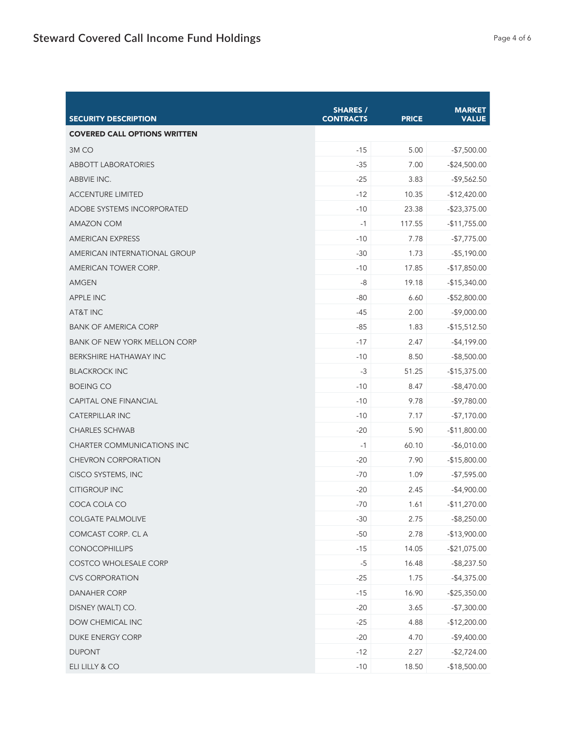| <b>SECURITY DESCRIPTION</b>         | <b>SHARES /</b><br><b>CONTRACTS</b> | <b>PRICE</b> | <b>MARKET</b><br><b>VALUE</b> |
|-------------------------------------|-------------------------------------|--------------|-------------------------------|
| <b>COVERED CALL OPTIONS WRITTEN</b> |                                     |              |                               |
| 3M <sub>CO</sub>                    | $-15$                               | 5.00         | $-$7,500.00$                  |
| <b>ABBOTT LABORATORIES</b>          | $-35$                               | 7.00         | $-$24,500.00$                 |
| ABBVIE INC.                         | $-25$                               | 3.83         | $-$9,562.50$                  |
| <b>ACCENTURE LIMITED</b>            | $-12$                               | 10.35        | $-$12,420.00$                 |
| <b>ADOBE SYSTEMS INCORPORATED</b>   | $-10$                               | 23.38        | $-$ \$23,375.00               |
| <b>AMAZON COM</b>                   | $-1$                                | 117.55       | $-$11,755.00$                 |
| <b>AMERICAN EXPRESS</b>             | $-10$                               | 7.78         | $-$7,775.00$                  |
| AMERICAN INTERNATIONAL GROUP        | $-30$                               | 1.73         | $-$ \$5,190.00                |
| AMERICAN TOWER CORP.                | $-10$                               | 17.85        | $-$17,850.00$                 |
| AMGEN                               | -8                                  | 19.18        | $-$15,340.00$                 |
| <b>APPLE INC</b>                    | $-80$                               | 6.60         | $-$52,800.00$                 |
| AT&T INC                            | $-45$                               | 2.00         | $-$9,000.00$                  |
| <b>BANK OF AMERICA CORP</b>         | $-85$                               | 1.83         | $-$15,512.50$                 |
| <b>BANK OF NEW YORK MELLON CORP</b> | $-17$                               | 2.47         | $-$4,199.00$                  |
| <b>BERKSHIRE HATHAWAY INC</b>       | $-10$                               | 8.50         | $-$ \$8,500.00                |
| <b>BLACKROCK INC</b>                | $-3$                                | 51.25        | $-$15,375.00$                 |
| <b>BOEING CO</b>                    | $-10$                               | 8.47         | $-$ \$8,470.00                |
| <b>CAPITAL ONE FINANCIAL</b>        | $-10$                               | 9.78         | $-$9,780.00$                  |
| <b>CATERPILLAR INC</b>              | $-10$                               | 7.17         | $-$7,170.00$                  |
| <b>CHARLES SCHWAB</b>               | $-20$                               | 5.90         | $-$11,800.00$                 |
| <b>CHARTER COMMUNICATIONS INC</b>   | $-1$                                | 60.10        | $-$6,010.00$                  |
| <b>CHEVRON CORPORATION</b>          | $-20$                               | 7.90         | $-$15,800.00$                 |
| CISCO SYSTEMS, INC                  | $-70$                               | 1.09         | $-$7,595.00$                  |
| <b>CITIGROUP INC</b>                | $-20$                               | 2.45         | $-$4,900.00$                  |
| COCA COLA CO                        | $-70$                               | 1.61         | $-$11,270.00$                 |
| <b>COLGATE PALMOLIVE</b>            | $-30$                               | 2.75         | $-$ \$8,250.00                |
| COMCAST CORP. CL A                  | $-50$                               | 2.78         | $-$13,900.00$                 |
| <b>CONOCOPHILLIPS</b>               | $-15$                               | 14.05        | $-$21,075.00$                 |
| COSTCO WHOLESALE CORP               | $-5$                                | 16.48        | $-$ \$8,237.50                |
| <b>CVS CORPORATION</b>              | $-25$                               | 1.75         | $-$4,375.00$                  |
| <b>DANAHER CORP</b>                 | $-15$                               | 16.90        | $-$ \$25,350.00               |
| DISNEY (WALT) CO.                   | $-20$                               | 3.65         | $-$7,300.00$                  |
| DOW CHEMICAL INC                    | $-25$                               | 4.88         | $-$12,200.00$                 |
| DUKE ENERGY CORP                    | $-20$                               | 4.70         | $-$9,400.00$                  |
| <b>DUPONT</b>                       | $-12$                               | 2.27         | $-$2,724.00$                  |
| ELI LILLY & CO                      | $-10$                               | 18.50        | $-$18,500.00$                 |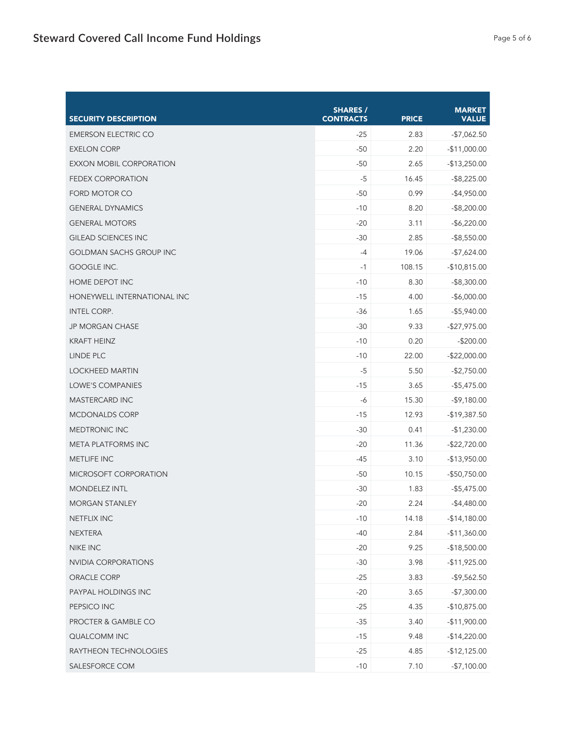| <b>SECURITY DESCRIPTION</b>    | <b>SHARES /</b><br><b>CONTRACTS</b> | <b>PRICE</b> | <b>MARKET</b><br><b>VALUE</b> |
|--------------------------------|-------------------------------------|--------------|-------------------------------|
| <b>EMERSON ELECTRIC CO</b>     | $-25$                               | 2.83         | $-$7,062.50$                  |
| <b>EXELON CORP</b>             | $-50$                               | 2.20         | $-$11,000.00$                 |
| EXXON MOBIL CORPORATION        | $-50$                               | 2.65         | $-$13,250.00$                 |
| <b>FEDEX CORPORATION</b>       | $-5$                                | 16.45        | $-$ \$8,225.00                |
| <b>FORD MOTOR CO</b>           | $-50$                               | 0.99         | $-$4,950.00$                  |
| <b>GENERAL DYNAMICS</b>        | $-10$                               | 8.20         | $-$ \$8,200.00                |
| <b>GENERAL MOTORS</b>          | $-20$                               | 3.11         | $-$6,220.00$                  |
| <b>GILEAD SCIENCES INC</b>     | $-30$                               | 2.85         | $-$ \$8,550.00                |
| <b>GOLDMAN SACHS GROUP INC</b> | $-4$                                | 19.06        | $-$7,624.00$                  |
| GOOGLE INC.                    | $-1$                                | 108.15       | $-$10,815.00$                 |
| HOME DEPOT INC                 | $-10$                               | 8.30         | $-$ \$8,300.00                |
| HONEYWELL INTERNATIONAL INC    | $-15$                               | 4.00         | $-$6,000.00$                  |
| <b>INTEL CORP.</b>             | $-36$                               | 1.65         | $-$ \$5,940.00                |
| <b>JP MORGAN CHASE</b>         | $-30$                               | 9.33         | $-$27,975.00$                 |
| <b>KRAFT HEINZ</b>             | $-10$                               | 0.20         | $-$200.00$                    |
| LINDE PLC                      | $-10$                               | 22.00        | $-$22,000.00$                 |
| <b>LOCKHEED MARTIN</b>         | $-5$                                | 5.50         | $-$2,750.00$                  |
| LOWE'S COMPANIES               | $-15$                               | 3.65         | $-$5,475.00$                  |
| <b>MASTERCARD INC</b>          | $-6$                                | 15.30        | $-$9,180.00$                  |
| <b>MCDONALDS CORP</b>          | $-15$                               | 12.93        | $-$19,387.50$                 |
| <b>MEDTRONIC INC</b>           | $-30$                               | 0.41         | $-$1,230.00$                  |
| <b>META PLATFORMS INC</b>      | $-20$                               | 11.36        | $-$22,720.00$                 |
| <b>METLIFE INC</b>             | $-45$                               | 3.10         | $-$13,950.00$                 |
| MICROSOFT CORPORATION          | $-50$                               | 10.15        | $-$50,750.00$                 |
| <b>MONDELEZ INTL</b>           | $-30$                               | 1.83         | $-$5,475.00$                  |
| <b>MORGAN STANLEY</b>          | $-20$                               | 2.24         | $-$4,480.00$                  |
| <b>NETFLIX INC</b>             | $-10$                               | 14.18        | $-$14,180.00$                 |
| <b>NEXTERA</b>                 | $-40$                               | 2.84         | $-$11,360.00$                 |
| NIKE INC                       | $-20$                               | 9.25         | $-$18,500.00$                 |
| <b>NVIDIA CORPORATIONS</b>     | $-30$                               | 3.98         | $-$11,925.00$                 |
| ORACLE CORP                    | $-25$                               | 3.83         | $-$9,562.50$                  |
| PAYPAL HOLDINGS INC            | $-20$                               | 3.65         | $-$7,300.00$                  |
| PEPSICO INC                    | $-25$                               | 4.35         | $-$10,875.00$                 |
| PROCTER & GAMBLE CO            | $-35$                               | 3.40         | $-$11,900.00$                 |
| QUALCOMM INC                   | $-15$                               | 9.48         | $-$14,220.00$                 |
| RAYTHEON TECHNOLOGIES          | $-25$                               | 4.85         | $-$12,125.00$                 |
| SALESFORCE COM                 | $-10$                               | 7.10         | $-$7,100.00$                  |